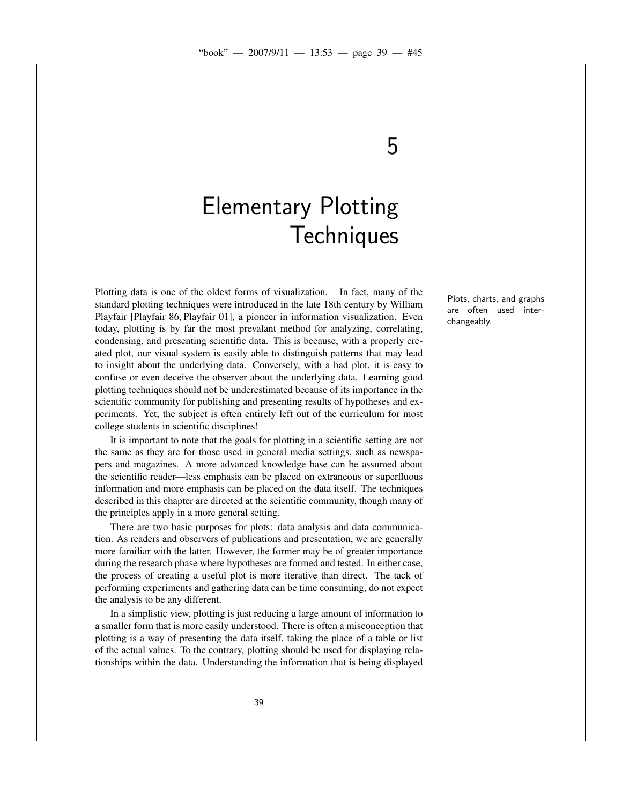5

# Elementary Plotting **Techniques**

Plotting data is one of the oldest forms of visualization. In fact, many of the standard plotting techniques were introduced in the late 18th century by William Playfair [Playfair 86, Playfair 01], a pioneer in information visualization. Even today, plotting is by far the most prevalant method for analyzing, correlating, condensing, and presenting scientific data. This is because, with a properly created plot, our visual system is easily able to distinguish patterns that may lead to insight about the underlying data. Conversely, with a bad plot, it is easy to confuse or even deceive the observer about the underlying data. Learning good plotting techniques should not be underestimated because of its importance in the scientific community for publishing and presenting results of hypotheses and experiments. Yet, the subject is often entirely left out of the curriculum for most college students in scientific disciplines!

It is important to note that the goals for plotting in a scientific setting are not the same as they are for those used in general media settings, such as newspapers and magazines. A more advanced knowledge base can be assumed about the scientific reader—less emphasis can be placed on extraneous or superfluous information and more emphasis can be placed on the data itself. The techniques described in this chapter are directed at the scientific community, though many of the principles apply in a more general setting.

There are two basic purposes for plots: data analysis and data communication. As readers and observers of publications and presentation, we are generally more familiar with the latter. However, the former may be of greater importance during the research phase where hypotheses are formed and tested. In either case, the process of creating a useful plot is more iterative than direct. The tack of performing experiments and gathering data can be time consuming, do not expect the analysis to be any different.

In a simplistic view, plotting is just reducing a large amount of information to a smaller form that is more easily understood. There is often a misconception that plotting is a way of presenting the data itself, taking the place of a table or list of the actual values. To the contrary, plotting should be used for displaying relationships within the data. Understanding the information that is being displayed

Plots, charts, and graphs are often used interchangeably.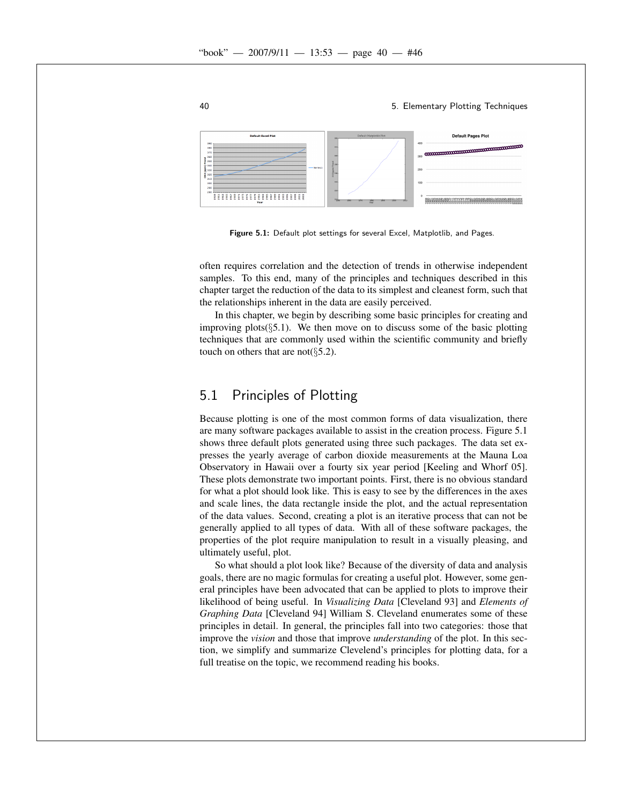

Figure 5.1: Default plot settings for several Excel, Matplotlib, and Pages.

often requires correlation and the detection of trends in otherwise independent samples. To this end, many of the principles and techniques described in this chapter target the reduction of the data to its simplest and cleanest form, such that the relationships inherent in the data are easily perceived.

In this chapter, we begin by describing some basic principles for creating and improving plots $(\xi 5.1)$ . We then move on to discuss some of the basic plotting techniques that are commonly used within the scientific community and briefly touch on others that are not( $\S$ 5.2).

# 5.1 Principles of Plotting

Because plotting is one of the most common forms of data visualization, there are many software packages available to assist in the creation process. Figure 5.1 shows three default plots generated using three such packages. The data set expresses the yearly average of carbon dioxide measurements at the Mauna Loa Observatory in Hawaii over a fourty six year period [Keeling and Whorf 05]. These plots demonstrate two important points. First, there is no obvious standard for what a plot should look like. This is easy to see by the differences in the axes and scale lines, the data rectangle inside the plot, and the actual representation of the data values. Second, creating a plot is an iterative process that can not be generally applied to all types of data. With all of these software packages, the properties of the plot require manipulation to result in a visually pleasing, and ultimately useful, plot.

So what should a plot look like? Because of the diversity of data and analysis goals, there are no magic formulas for creating a useful plot. However, some general principles have been advocated that can be applied to plots to improve their likelihood of being useful. In *Visualizing Data* [Cleveland 93] and *Elements of Graphing Data* [Cleveland 94] William S. Cleveland enumerates some of these principles in detail. In general, the principles fall into two categories: those that improve the *vision* and those that improve *understanding* of the plot. In this section, we simplify and summarize Clevelend's principles for plotting data, for a full treatise on the topic, we recommend reading his books.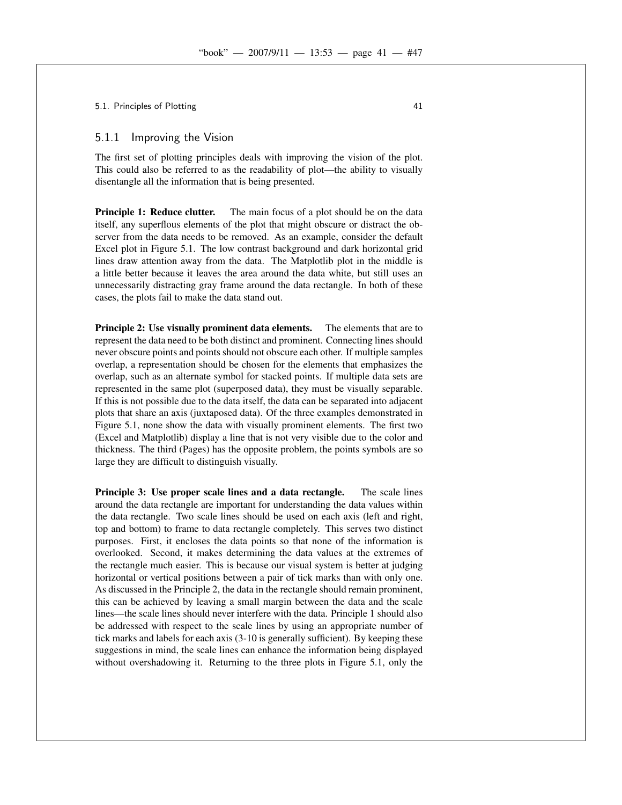5.1. Principles of Plotting 41 and  $\frac{41}{41}$ 

#### 5.1.1 Improving the Vision

The first set of plotting principles deals with improving the vision of the plot. This could also be referred to as the readability of plot—the ability to visually disentangle all the information that is being presented.

**Principle 1: Reduce clutter.** The main focus of a plot should be on the data itself, any superflous elements of the plot that might obscure or distract the observer from the data needs to be removed. As an example, consider the default Excel plot in Figure 5.1. The low contrast background and dark horizontal grid lines draw attention away from the data. The Matplotlib plot in the middle is a little better because it leaves the area around the data white, but still uses an unnecessarily distracting gray frame around the data rectangle. In both of these cases, the plots fail to make the data stand out.

Principle 2: Use visually prominent data elements. The elements that are to represent the data need to be both distinct and prominent. Connecting lines should never obscure points and points should not obscure each other. If multiple samples overlap, a representation should be chosen for the elements that emphasizes the overlap, such as an alternate symbol for stacked points. If multiple data sets are represented in the same plot (superposed data), they must be visually separable. If this is not possible due to the data itself, the data can be separated into adjacent plots that share an axis (juxtaposed data). Of the three examples demonstrated in Figure 5.1, none show the data with visually prominent elements. The first two (Excel and Matplotlib) display a line that is not very visible due to the color and thickness. The third (Pages) has the opposite problem, the points symbols are so large they are difficult to distinguish visually.

Principle 3: Use proper scale lines and a data rectangle. The scale lines around the data rectangle are important for understanding the data values within the data rectangle. Two scale lines should be used on each axis (left and right, top and bottom) to frame to data rectangle completely. This serves two distinct purposes. First, it encloses the data points so that none of the information is overlooked. Second, it makes determining the data values at the extremes of the rectangle much easier. This is because our visual system is better at judging horizontal or vertical positions between a pair of tick marks than with only one. As discussed in the Principle 2, the data in the rectangle should remain prominent, this can be achieved by leaving a small margin between the data and the scale lines—the scale lines should never interfere with the data. Principle 1 should also be addressed with respect to the scale lines by using an appropriate number of tick marks and labels for each axis (3-10 is generally sufficient). By keeping these suggestions in mind, the scale lines can enhance the information being displayed without overshadowing it. Returning to the three plots in Figure 5.1, only the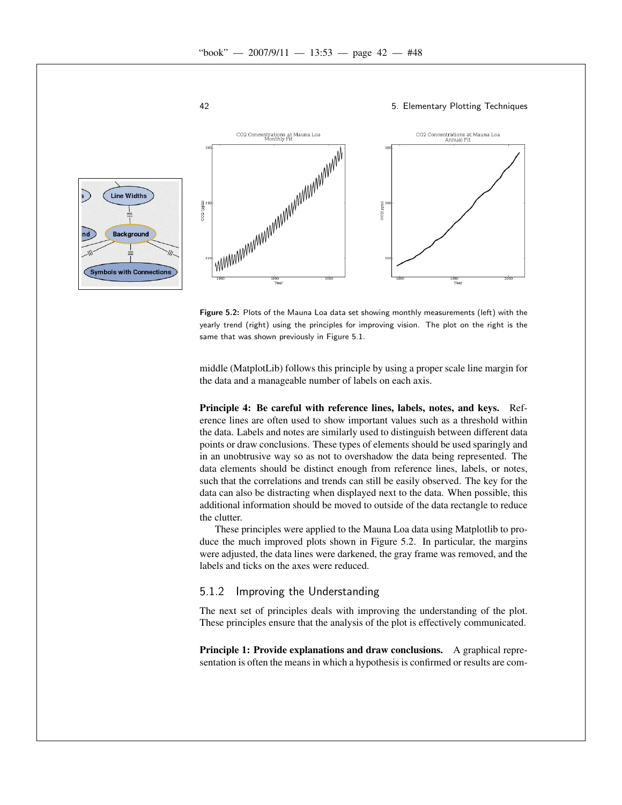

Figure 5.2: Plots of the Mauna Loa data set showing monthly measurements (left) with the yearly trend (right) using the principles for improving vision. The plot on the right is the same that was shown previously in Figure 5.1.

middle (MatplotLib) follows this principle by using a proper scale line margin for the data and a manageable number of labels on each axis.

Principle 4: Be careful with reference lines, labels, notes, and keys. Reference lines are often used to show important values such as a threshold within the data. Labels and notes are similarly used to distinguish between different data points or draw conclusions. These types of elements should be used sparingly and in an unobtrusive way so as not to overshadow the data being represented. The data elements should be distinct enough from reference lines, labels, or notes, such that the correlations and trends can still be easily observed. The key for the data can also be distracting when displayed next to the data. When possible, this additional information should be moved to outside of the data rectangle to reduce the clutter.

These principles were applied to the Mauna Loa data using Matplotlib to produce the much improved plots shown in Figure 5.2. In particular, the margins were adjusted, the data lines were darkened, the gray frame was removed, and the labels and ticks on the axes were reduced.

### 5.1.2 Improving the Understanding

The next set of principles deals with improving the understanding of the plot. These principles ensure that the analysis of the plot is effectively communicated.

Principle 1: Provide explanations and draw conclusions. A graphical representation is often the means in which a hypothesis is confirmed or results are com-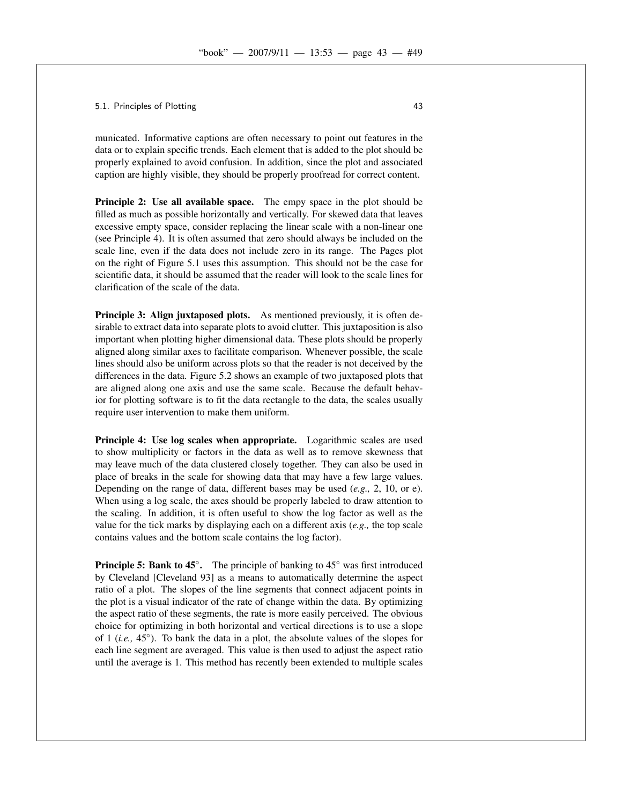#### 5.1. Principles of Plotting 43

municated. Informative captions are often necessary to point out features in the data or to explain specific trends. Each element that is added to the plot should be properly explained to avoid confusion. In addition, since the plot and associated caption are highly visible, they should be properly proofread for correct content.

Principle 2: Use all available space. The empy space in the plot should be filled as much as possible horizontally and vertically. For skewed data that leaves excessive empty space, consider replacing the linear scale with a non-linear one (see Principle 4). It is often assumed that zero should always be included on the scale line, even if the data does not include zero in its range. The Pages plot on the right of Figure 5.1 uses this assumption. This should not be the case for scientific data, it should be assumed that the reader will look to the scale lines for clarification of the scale of the data.

Principle 3: Align juxtaposed plots. As mentioned previously, it is often desirable to extract data into separate plots to avoid clutter. This juxtaposition is also important when plotting higher dimensional data. These plots should be properly aligned along similar axes to facilitate comparison. Whenever possible, the scale lines should also be uniform across plots so that the reader is not deceived by the differences in the data. Figure 5.2 shows an example of two juxtaposed plots that are aligned along one axis and use the same scale. Because the default behavior for plotting software is to fit the data rectangle to the data, the scales usually require user intervention to make them uniform.

Principle 4: Use log scales when appropriate. Logarithmic scales are used to show multiplicity or factors in the data as well as to remove skewness that may leave much of the data clustered closely together. They can also be used in place of breaks in the scale for showing data that may have a few large values. Depending on the range of data, different bases may be used (*e.g.,* 2, 10, or e). When using a log scale, the axes should be properly labeled to draw attention to the scaling. In addition, it is often useful to show the log factor as well as the value for the tick marks by displaying each on a different axis (*e.g.,* the top scale contains values and the bottom scale contains the log factor).

**Principle 5: Bank to 45** $^{\circ}$ **.** The principle of banking to 45 $^{\circ}$  was first introduced by Cleveland [Cleveland 93] as a means to automatically determine the aspect ratio of a plot. The slopes of the line segments that connect adjacent points in the plot is a visual indicator of the rate of change within the data. By optimizing the aspect ratio of these segments, the rate is more easily perceived. The obvious choice for optimizing in both horizontal and vertical directions is to use a slope of 1 (*i.e.,* 45◦ ). To bank the data in a plot, the absolute values of the slopes for each line segment are averaged. This value is then used to adjust the aspect ratio until the average is 1. This method has recently been extended to multiple scales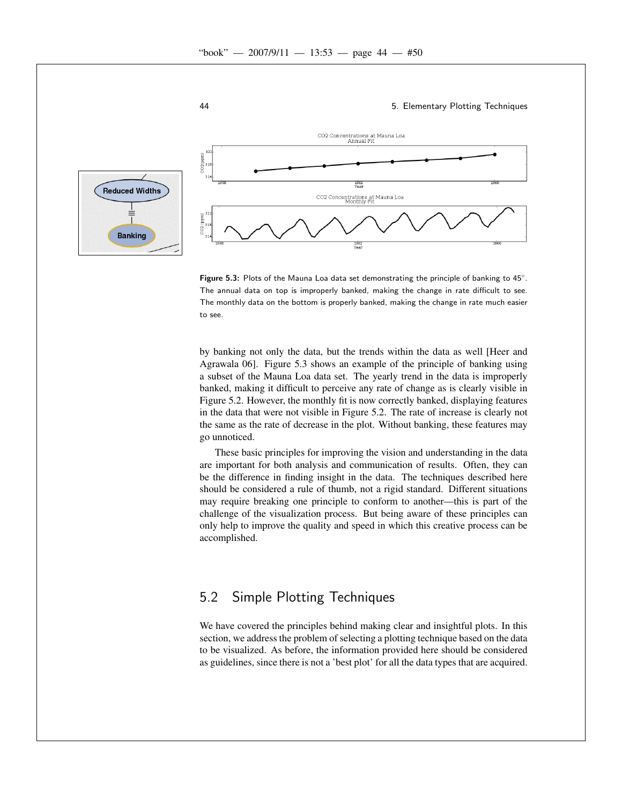

Figure 5.3: Plots of the Mauna Loa data set demonstrating the principle of banking to  $45^\circ$ . The annual data on top is improperly banked, making the change in rate difficult to see. The monthly data on the bottom is properly banked, making the change in rate much easier to see.

by banking not only the data, but the trends within the data as well [Heer and Agrawala 06]. Figure 5.3 shows an example of the principle of banking using a subset of the Mauna Loa data set. The yearly trend in the data is improperly banked, making it difficult to perceive any rate of change as is clearly visible in Figure 5.2. However, the monthly fit is now correctly banked, displaying features in the data that were not visible in Figure 5.2. The rate of increase is clearly not the same as the rate of decrease in the plot. Without banking, these features may go unnoticed.

These basic principles for improving the vision and understanding in the data are important for both analysis and communication of results. Often, they can be the difference in finding insight in the data. The techniques described here should be considered a rule of thumb, not a rigid standard. Different situations may require breaking one principle to conform to another—this is part of the challenge of the visualization process. But being aware of these principles can only help to improve the quality and speed in which this creative process can be accomplished.

# 5.2 Simple Plotting Techniques

We have covered the principles behind making clear and insightful plots. In this section, we address the problem of selecting a plotting technique based on the data to be visualized. As before, the information provided here should be considered as guidelines, since there is not a 'best plot' for all the data types that are acquired.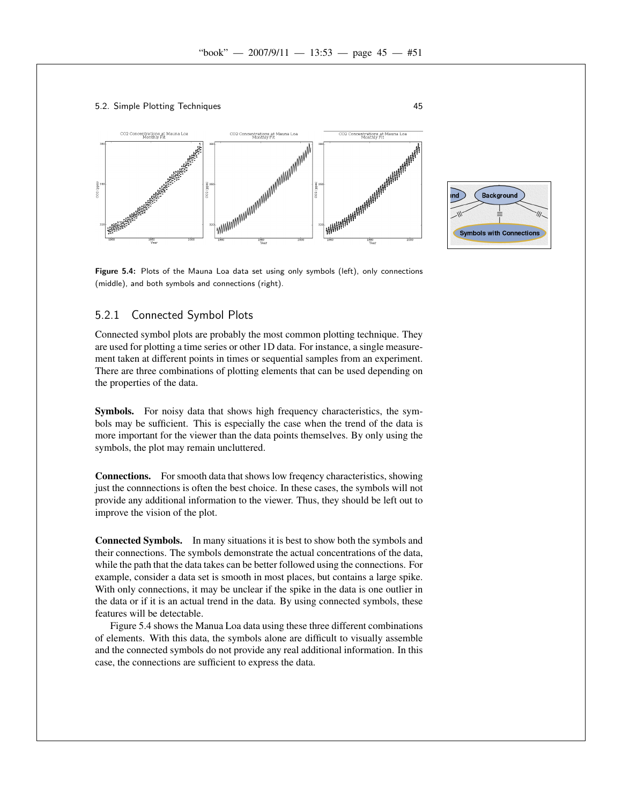





Figure 5.4: Plots of the Mauna Loa data set using only symbols (left), only connections (middle), and both symbols and connections (right).

## 5.2.1 Connected Symbol Plots

Connected symbol plots are probably the most common plotting technique. They are used for plotting a time series or other 1D data. For instance, a single measurement taken at different points in times or sequential samples from an experiment. There are three combinations of plotting elements that can be used depending on the properties of the data.

Symbols. For noisy data that shows high frequency characteristics, the symbols may be sufficient. This is especially the case when the trend of the data is more important for the viewer than the data points themselves. By only using the symbols, the plot may remain uncluttered.

Connections. For smooth data that shows low freqency characteristics, showing just the connnections is often the best choice. In these cases, the symbols will not provide any additional information to the viewer. Thus, they should be left out to improve the vision of the plot.

Connected Symbols. In many situations it is best to show both the symbols and their connections. The symbols demonstrate the actual concentrations of the data, while the path that the data takes can be better followed using the connections. For example, consider a data set is smooth in most places, but contains a large spike. With only connections, it may be unclear if the spike in the data is one outlier in the data or if it is an actual trend in the data. By using connected symbols, these features will be detectable.

Figure 5.4 shows the Manua Loa data using these three different combinations of elements. With this data, the symbols alone are difficult to visually assemble and the connected symbols do not provide any real additional information. In this case, the connections are sufficient to express the data.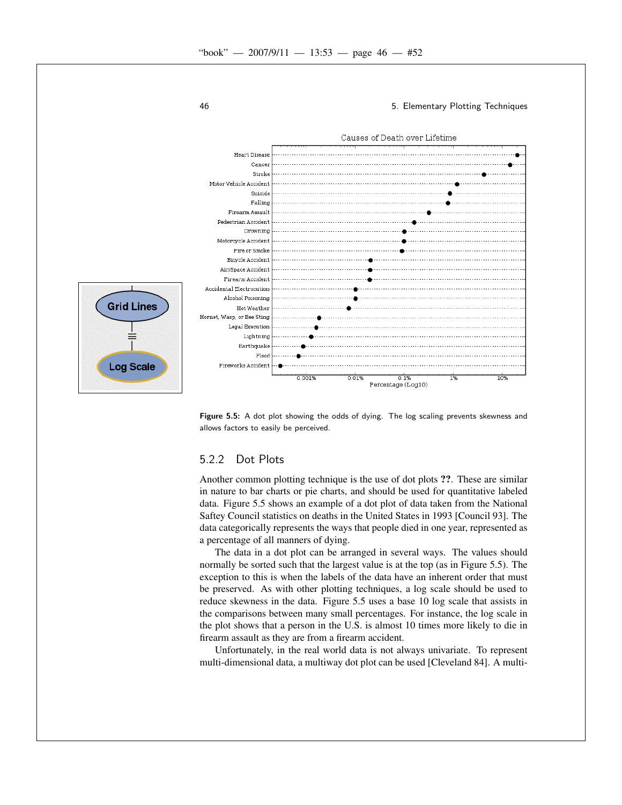

Figure 5.5: A dot plot showing the odds of dying. The log scaling prevents skewness and allows factors to easily be perceived.

### 5.2.2 Dot Plots

Another common plotting technique is the use of dot plots ??. These are similar in nature to bar charts or pie charts, and should be used for quantitative labeled data. Figure 5.5 shows an example of a dot plot of data taken from the National Saftey Council statistics on deaths in the United States in 1993 [Council 93]. The data categorically represents the ways that people died in one year, represented as a percentage of all manners of dying.

The data in a dot plot can be arranged in several ways. The values should normally be sorted such that the largest value is at the top (as in Figure 5.5). The exception to this is when the labels of the data have an inherent order that must be preserved. As with other plotting techniques, a log scale should be used to reduce skewness in the data. Figure 5.5 uses a base 10 log scale that assists in the comparisons between many small percentages. For instance, the log scale in the plot shows that a person in the U.S. is almost 10 times more likely to die in firearm assault as they are from a firearm accident.

Unfortunately, in the real world data is not always univariate. To represent multi-dimensional data, a multiway dot plot can be used [Cleveland 84]. A multi-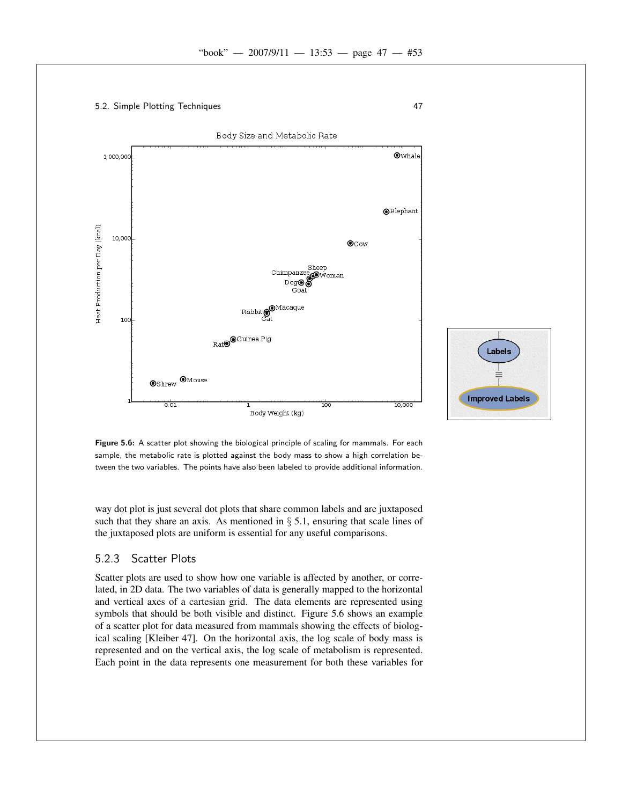



Figure 5.6: A scatter plot showing the biological principle of scaling for mammals. For each sample, the metabolic rate is plotted against the body mass to show a high correlation between the two variables. The points have also been labeled to provide additional information.

way dot plot is just several dot plots that share common labels and are juxtaposed such that they share an axis. As mentioned in  $\S$  5.1, ensuring that scale lines of the juxtaposed plots are uniform is essential for any useful comparisons.

# 5.2.3 Scatter Plots

Scatter plots are used to show how one variable is affected by another, or correlated, in 2D data. The two variables of data is generally mapped to the horizontal and vertical axes of a cartesian grid. The data elements are represented using symbols that should be both visible and distinct. Figure 5.6 shows an example of a scatter plot for data measured from mammals showing the effects of biological scaling [Kleiber 47]. On the horizontal axis, the log scale of body mass is represented and on the vertical axis, the log scale of metabolism is represented. Each point in the data represents one measurement for both these variables for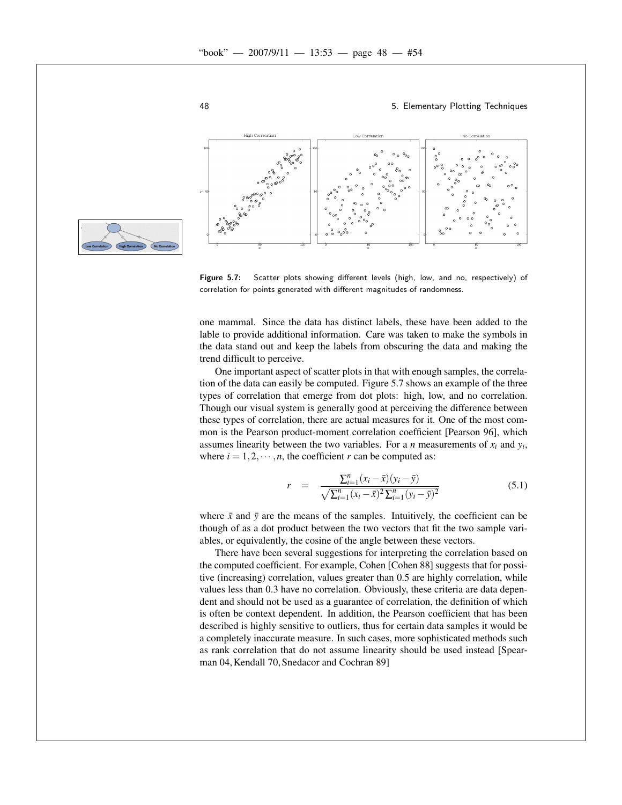

Figure 5.7: Scatter plots showing different levels (high, low, and no, respectively) of correlation for points generated with different magnitudes of randomness.

one mammal. Since the data has distinct labels, these have been added to the lable to provide additional information. Care was taken to make the symbols in the data stand out and keep the labels from obscuring the data and making the trend difficult to perceive.

One important aspect of scatter plots in that with enough samples, the correlation of the data can easily be computed. Figure 5.7 shows an example of the three types of correlation that emerge from dot plots: high, low, and no correlation. Though our visual system is generally good at perceiving the difference between these types of correlation, there are actual measures for it. One of the most common is the Pearson product-moment correlation coefficient [Pearson 96], which assumes linearity between the two variables. For a *n* measurements of  $x_i$  and  $y_i$ , where  $i = 1, 2, \dots, n$ , the coefficient *r* can be computed as:

$$
r = \frac{\sum_{i=1}^{n} (x_i - \bar{x})(y_i - \bar{y})}{\sqrt{\sum_{i=1}^{n} (x_i - \bar{x})^2 \sum_{i=1}^{n} (y_i - \bar{y})^2}}
$$
(5.1)

where  $\bar{x}$  and  $\bar{y}$  are the means of the samples. Intuitively, the coefficient can be though of as a dot product between the two vectors that fit the two sample variables, or equivalently, the cosine of the angle between these vectors.

There have been several suggestions for interpreting the correlation based on the computed coefficient. For example, Cohen [Cohen 88] suggests that for possitive (increasing) correlation, values greater than 0.5 are highly correlation, while values less than 0.3 have no correlation. Obviously, these criteria are data dependent and should not be used as a guarantee of correlation, the definition of which is often be context dependent. In addition, the Pearson coefficient that has been described is highly sensitive to outliers, thus for certain data samples it would be a completely inaccurate measure. In such cases, more sophisticated methods such as rank correlation that do not assume linearity should be used instead [Spearman 04, Kendall 70, Snedacor and Cochran 89]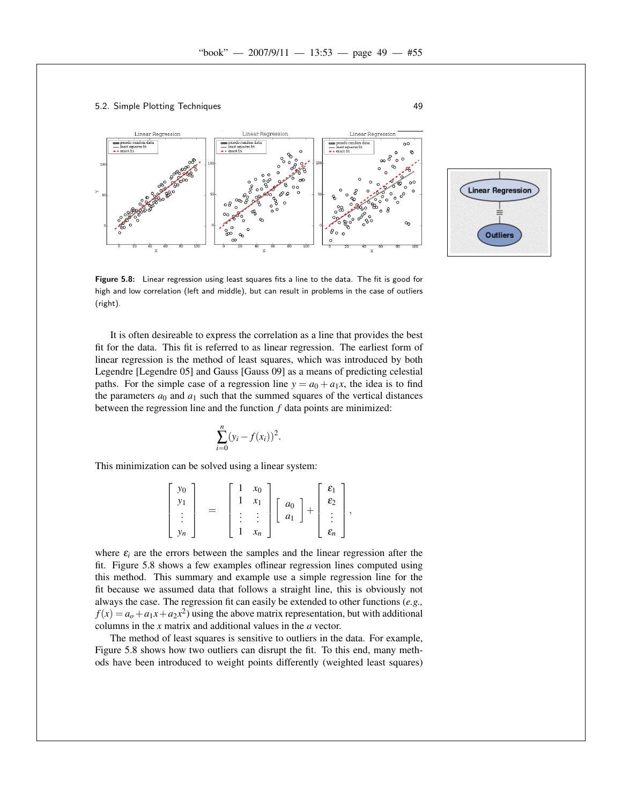



Figure 5.8: Linear regression using least squares fits a line to the data. The fit is good for high and low correlation (left and middle), but can result in problems in the case of outliers (right).

It is often desireable to express the correlation as a line that provides the best fit for the data. This fit is referred to as linear regression. The earliest form of linear regression is the method of least squares, which was introduced by both Legendre [Legendre 05] and Gauss [Gauss 09] as a means of predicting celestial paths. For the simple case of a regression line  $y = a_0 + a_1x$ , the idea is to find the parameters  $a_0$  and  $a_1$  such that the summed squares of the vertical distances between the regression line and the function *f* data points are minimized:

$$
\sum_{i=0}^{n} (y_i - f(x_i))^2.
$$

This minimization can be solved using a linear system:

$$
\begin{bmatrix} y_0 \\ y_1 \\ \vdots \\ y_n \end{bmatrix} = \begin{bmatrix} 1 & x_0 \\ 1 & x_1 \\ \vdots & \vdots \\ 1 & x_n \end{bmatrix} \begin{bmatrix} a_0 \\ a_1 \end{bmatrix} + \begin{bmatrix} \varepsilon_1 \\ \varepsilon_2 \\ \vdots \\ \varepsilon_n \end{bmatrix},
$$

where  $\varepsilon_i$  are the errors between the samples and the linear regression after the fit. Figure 5.8 shows a few examples oflinear regression lines computed using this method. This summary and example use a simple regression line for the fit because we assumed data that follows a straight line, this is obviously not always the case. The regression fit can easily be extended to other functions (*e.g.,*  $f(x) = a_0 + a_1x + a_2x^2$  using the above matrix representation, but with additional columns in the *x* matrix and additional values in the *a* vector.

The method of least squares is sensitive to outliers in the data. For example, Figure 5.8 shows how two outliers can disrupt the fit. To this end, many methods have been introduced to weight points differently (weighted least squares)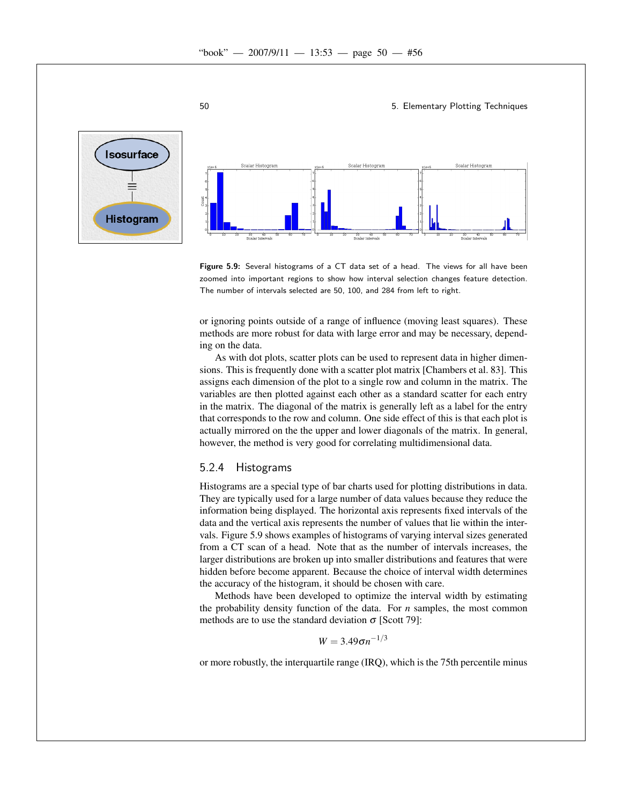



Figure 5.9: Several histograms of a CT data set of a head. The views for all have been zoomed into important regions to show how interval selection changes feature detection. The number of intervals selected are 50, 100, and 284 from left to right.

or ignoring points outside of a range of influence (moving least squares). These methods are more robust for data with large error and may be necessary, depending on the data.

As with dot plots, scatter plots can be used to represent data in higher dimensions. This is frequently done with a scatter plot matrix [Chambers et al. 83]. This assigns each dimension of the plot to a single row and column in the matrix. The variables are then plotted against each other as a standard scatter for each entry in the matrix. The diagonal of the matrix is generally left as a label for the entry that corresponds to the row and column. One side effect of this is that each plot is actually mirrored on the the upper and lower diagonals of the matrix. In general, however, the method is very good for correlating multidimensional data.

#### 5.2.4 Histograms

Histograms are a special type of bar charts used for plotting distributions in data. They are typically used for a large number of data values because they reduce the information being displayed. The horizontal axis represents fixed intervals of the data and the vertical axis represents the number of values that lie within the intervals. Figure 5.9 shows examples of histograms of varying interval sizes generated from a CT scan of a head. Note that as the number of intervals increases, the larger distributions are broken up into smaller distributions and features that were hidden before become apparent. Because the choice of interval width determines the accuracy of the histogram, it should be chosen with care.

Methods have been developed to optimize the interval width by estimating the probability density function of the data. For *n* samples, the most common methods are to use the standard deviation  $\sigma$  [Scott 79]:

$$
W=3.49\sigma n^{-1/3}
$$

or more robustly, the interquartile range (IRQ), which is the 75th percentile minus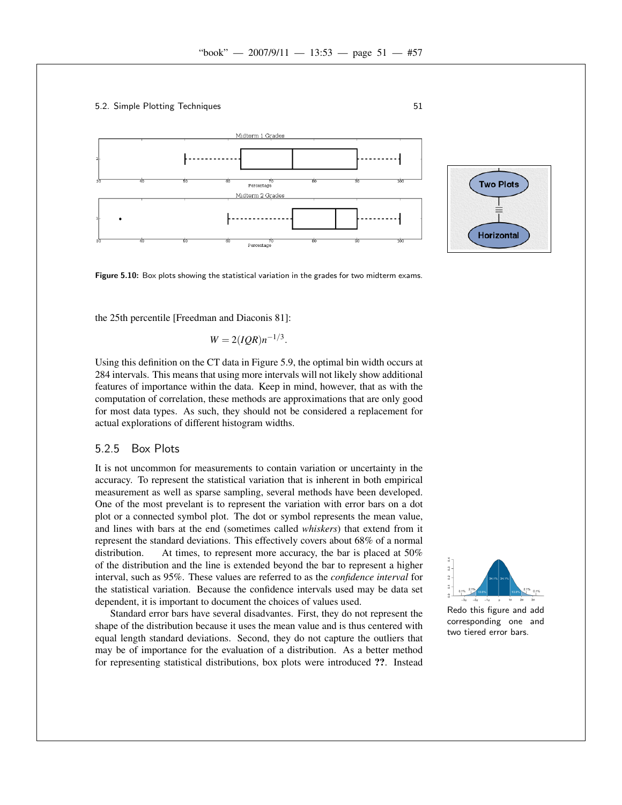



Figure 5.10: Box plots showing the statistical variation in the grades for two midterm exams.

the 25th percentile [Freedman and Diaconis 81]:

$$
W=2(IQR)n^{-1/3}.
$$

Using this definition on the CT data in Figure 5.9, the optimal bin width occurs at 284 intervals. This means that using more intervals will not likely show additional features of importance within the data. Keep in mind, however, that as with the computation of correlation, these methods are approximations that are only good for most data types. As such, they should not be considered a replacement for actual explorations of different histogram widths.

#### 5.2.5 Box Plots

It is not uncommon for measurements to contain variation or uncertainty in the accuracy. To represent the statistical variation that is inherent in both empirical measurement as well as sparse sampling, several methods have been developed. One of the most prevelant is to represent the variation with error bars on a dot plot or a connected symbol plot. The dot or symbol represents the mean value, and lines with bars at the end (sometimes called *whiskers*) that extend from it represent the standard deviations. This effectively covers about 68% of a normal distribution. At times, to represent more accuracy, the bar is placed at 50% of the distribution and the line is extended beyond the bar to represent a higher interval, such as 95%. These values are referred to as the *confidence interval* for the statistical variation. Because the confidence intervals used may be data set dependent, it is important to document the choices of values used.

Standard error bars have several disadvantes. First, they do not represent the shape of the distribution because it uses the mean value and is thus centered with equal length standard deviations. Second, they do not capture the outliers that may be of importance for the evaluation of a distribution. As a better method for representing statistical distributions, box plots were introduced ??. Instead



**Two Plots** 

**Horizontal**